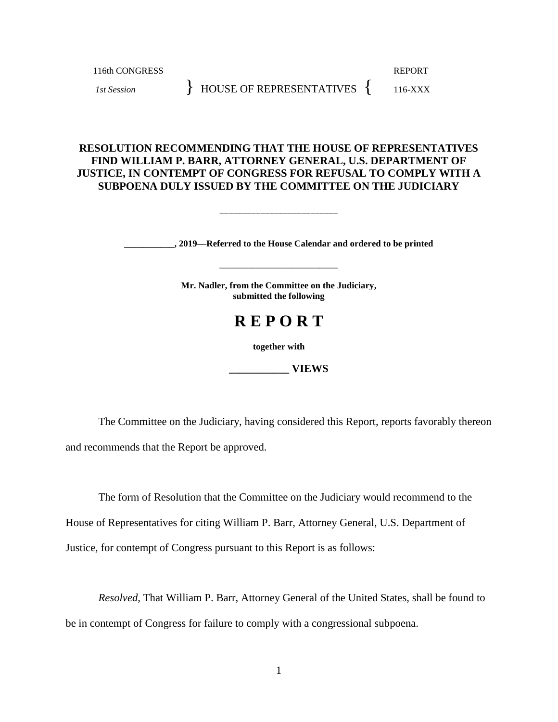116th CONGRESS REPORT *1st Session* } HOUSE OF REPRESENTATIVES { 116-XXX

# **RESOLUTION RECOMMENDING THAT THE HOUSE OF REPRESENTATIVES FIND WILLIAM P. BARR, ATTORNEY GENERAL, U.S. DEPARTMENT OF JUSTICE, IN CONTEMPT OF CONGRESS FOR REFUSAL TO COMPLY WITH A SUBPOENA DULY ISSUED BY THE COMMITTEE ON THE JUDICIARY**

\_\_\_\_\_\_\_\_\_\_\_\_\_\_\_\_\_\_\_\_\_\_\_\_\_\_

**\_\_\_\_\_\_\_\_\_\_\_, 2019—Referred to the House Calendar and ordered to be printed**

\_\_\_\_\_\_\_\_\_\_\_\_\_\_\_\_\_\_\_\_\_\_\_\_\_\_

**Mr. Nadler, from the Committee on the Judiciary, submitted the following**

# **R E P O R T**

**together with**

**\_\_\_\_\_\_\_\_\_\_\_ VIEWS**

The Committee on the Judiciary, having considered this Report, reports favorably thereon and recommends that the Report be approved.

The form of Resolution that the Committee on the Judiciary would recommend to the House of Representatives for citing William P. Barr, Attorney General, U.S. Department of Justice*,* for contempt of Congress pursuant to this Report is as follows:

*Resolved,* That William P. Barr, Attorney General of the United States, shall be found to be in contempt of Congress for failure to comply with a congressional subpoena.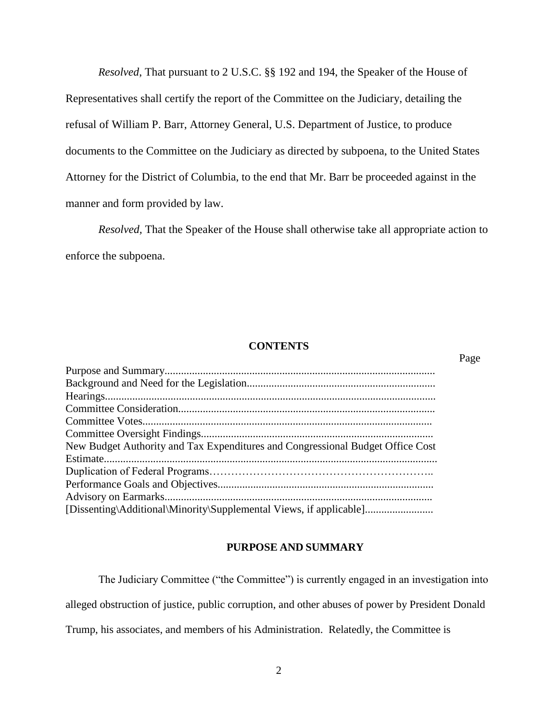*Resolved*, That pursuant to 2 U.S.C. §§ 192 and 194, the Speaker of the House of Representatives shall certify the report of the Committee on the Judiciary, detailing the refusal of William P. Barr, Attorney General, U.S. Department of Justice, to produce documents to the Committee on the Judiciary as directed by subpoena, to the United States Attorney for the District of Columbia, to the end that Mr. Barr be proceeded against in the manner and form provided by law.

*Resolved*, That the Speaker of the House shall otherwise take all appropriate action to enforce the subpoena.

# **CONTENTS**

Page

| New Budget Authority and Tax Expenditures and Congressional Budget Office Cost |
|--------------------------------------------------------------------------------|
|                                                                                |
|                                                                                |
|                                                                                |
|                                                                                |
| [Dissenting\Additional\Minority\Supplemental Views, if applicable]             |

# **PURPOSE AND SUMMARY**

The Judiciary Committee ("the Committee") is currently engaged in an investigation into alleged obstruction of justice, public corruption, and other abuses of power by President Donald Trump, his associates, and members of his Administration. Relatedly, the Committee is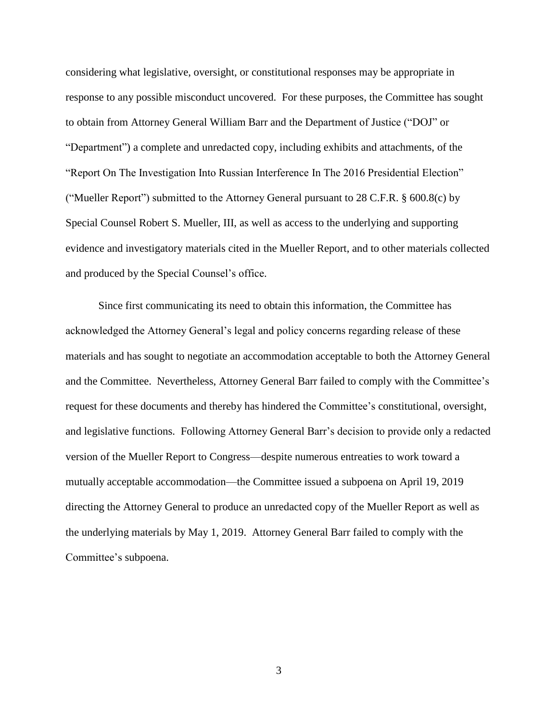considering what legislative, oversight, or constitutional responses may be appropriate in response to any possible misconduct uncovered. For these purposes, the Committee has sought to obtain from Attorney General William Barr and the Department of Justice ("DOJ" or "Department") a complete and unredacted copy, including exhibits and attachments, of the "Report On The Investigation Into Russian Interference In The 2016 Presidential Election" ("Mueller Report") submitted to the Attorney General pursuant to 28 C.F.R.  $\S$  600.8(c) by Special Counsel Robert S. Mueller, III, as well as access to the underlying and supporting evidence and investigatory materials cited in the Mueller Report, and to other materials collected and produced by the Special Counsel's office.

Since first communicating its need to obtain this information, the Committee has acknowledged the Attorney General's legal and policy concerns regarding release of these materials and has sought to negotiate an accommodation acceptable to both the Attorney General and the Committee. Nevertheless, Attorney General Barr failed to comply with the Committee's request for these documents and thereby has hindered the Committee's constitutional, oversight, and legislative functions. Following Attorney General Barr's decision to provide only a redacted version of the Mueller Report to Congress—despite numerous entreaties to work toward a mutually acceptable accommodation—the Committee issued a subpoena on April 19, 2019 directing the Attorney General to produce an unredacted copy of the Mueller Report as well as the underlying materials by May 1, 2019. Attorney General Barr failed to comply with the Committee's subpoena.

3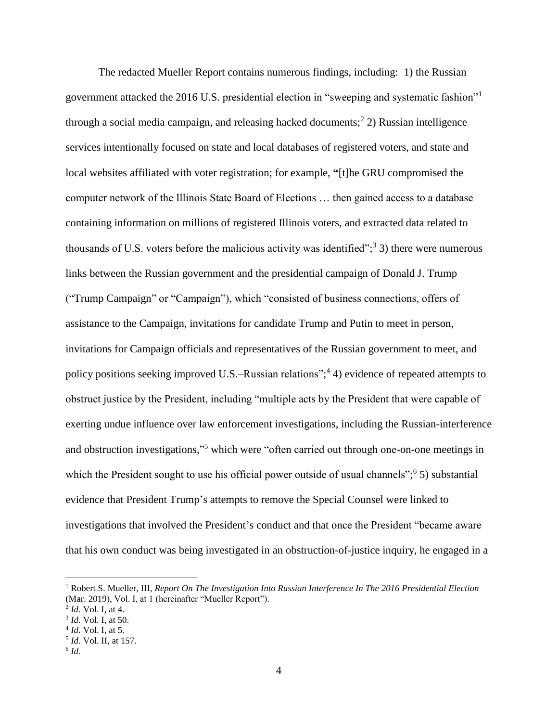The redacted Mueller Report contains numerous findings, including: 1) the Russian government attacked the 2016 U.S. presidential election in "sweeping and systematic fashion"<sup>1</sup> through a social media campaign, and releasing hacked documents; 2 2) Russian intelligence services intentionally focused on state and local databases of registered voters, and state and local websites affiliated with voter registration; for example, **"**[t]he GRU compromised the computer network of the Illinois State Board of Elections … then gained access to a database containing information on millions of registered Illinois voters, and extracted data related to thousands of U.S. voters before the malicious activity was identified";<sup>3</sup> 3) there were numerous links between the Russian government and the presidential campaign of Donald J. Trump ("Trump Campaign" or "Campaign"), which "consisted of business connections, offers of assistance to the Campaign, invitations for candidate Trump and Putin to meet in person, invitations for Campaign officials and representatives of the Russian government to meet, and policy positions seeking improved U.S.–Russian relations";<sup>4</sup> 4) evidence of repeated attempts to obstruct justice by the President, including "multiple acts by the President that were capable of exerting undue influence over law enforcement investigations, including the Russian-interference and obstruction investigations," <sup>5</sup> which were "often carried out through one-on-one meetings in which the President sought to use his official power outside of usual channels";<sup>6</sup> 5) substantial evidence that President Trump's attempts to remove the Special Counsel were linked to investigations that involved the President's conduct and that once the President "became aware that his own conduct was being investigated in an obstruction-of-justice inquiry, he engaged in a

<sup>1</sup> Robert S. Mueller, III, *Report On The Investigation Into Russian Interference In The 2016 Presidential Election* (Mar. 2019), Vol. I, at 1 (hereinafter "Mueller Report").

<sup>2</sup> *Id.* Vol. I, at 4.

<sup>3</sup> *Id.* Vol. I, at 50.

<sup>4</sup> *Id.* Vol. I, at 5.

<sup>5</sup> *Id.* Vol. II, at 157.

<sup>6</sup> *Id.*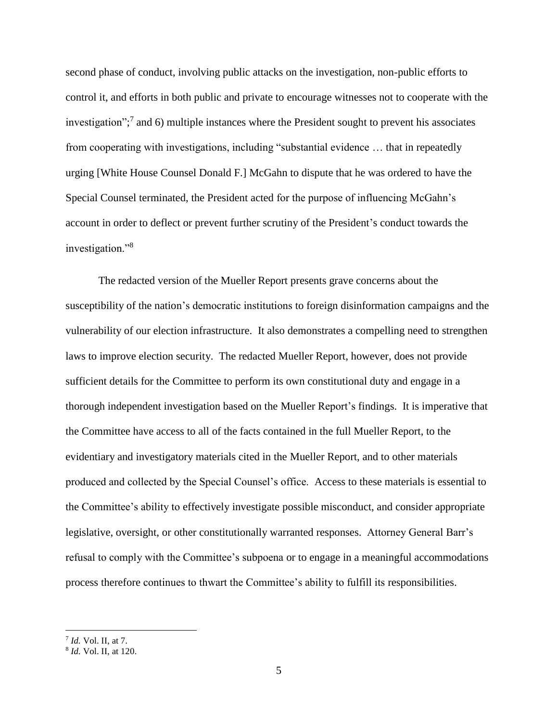second phase of conduct, involving public attacks on the investigation, non-public efforts to control it, and efforts in both public and private to encourage witnesses not to cooperate with the investigation"; 7 and 6) multiple instances where the President sought to prevent his associates from cooperating with investigations, including "substantial evidence … that in repeatedly urging [White House Counsel Donald F.] McGahn to dispute that he was ordered to have the Special Counsel terminated, the President acted for the purpose of influencing McGahn's account in order to deflect or prevent further scrutiny of the President's conduct towards the investigation."<sup>8</sup>

The redacted version of the Mueller Report presents grave concerns about the susceptibility of the nation's democratic institutions to foreign disinformation campaigns and the vulnerability of our election infrastructure. It also demonstrates a compelling need to strengthen laws to improve election security. The redacted Mueller Report, however, does not provide sufficient details for the Committee to perform its own constitutional duty and engage in a thorough independent investigation based on the Mueller Report's findings. It is imperative that the Committee have access to all of the facts contained in the full Mueller Report, to the evidentiary and investigatory materials cited in the Mueller Report, and to other materials produced and collected by the Special Counsel's office. Access to these materials is essential to the Committee's ability to effectively investigate possible misconduct, and consider appropriate legislative, oversight, or other constitutionally warranted responses. Attorney General Barr's refusal to comply with the Committee's subpoena or to engage in a meaningful accommodations process therefore continues to thwart the Committee's ability to fulfill its responsibilities.

<sup>7</sup> *Id.* Vol. II, at 7.

<sup>8</sup> *Id.* Vol. II, at 120.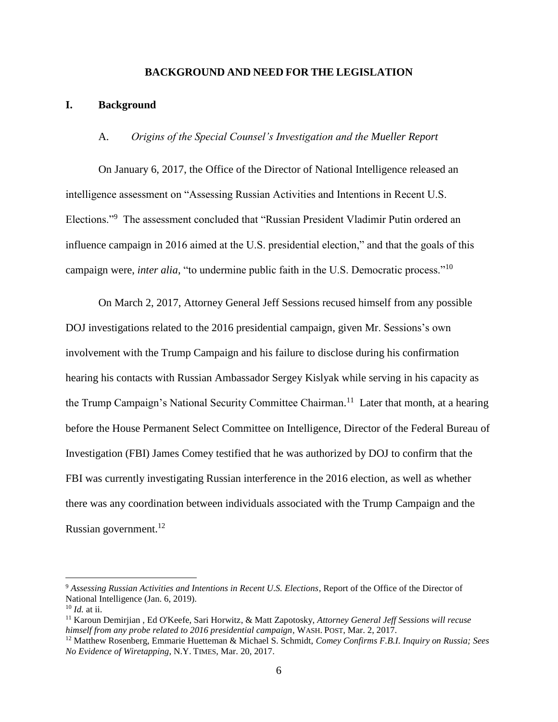#### **BACKGROUND AND NEED FOR THE LEGISLATION**

#### **I. Background**

#### A. *Origins of the Special Counsel's Investigation and the Mueller Report*

On January 6, 2017, the Office of the Director of National Intelligence released an intelligence assessment on "Assessing Russian Activities and Intentions in Recent U.S. Elections."<sup>9</sup> The assessment concluded that "Russian President Vladimir Putin ordered an influence campaign in 2016 aimed at the U.S. presidential election," and that the goals of this campaign were, *inter alia*, "to undermine public faith in the U.S. Democratic process."<sup>10</sup>

On March 2, 2017, Attorney General Jeff Sessions recused himself from any possible DOJ investigations related to the 2016 presidential campaign, given Mr. Sessions's own involvement with the Trump Campaign and his failure to disclose during his confirmation hearing his contacts with Russian Ambassador Sergey Kislyak while serving in his capacity as the Trump Campaign's National Security Committee Chairman.<sup>11</sup> Later that month, at a hearing before the House Permanent Select Committee on Intelligence, Director of the Federal Bureau of Investigation (FBI) James Comey testified that he was authorized by DOJ to confirm that the FBI was currently investigating Russian interference in the 2016 election, as well as whether there was any coordination between individuals associated with the Trump Campaign and the Russian government.<sup>12</sup>

<sup>9</sup> *Assessing Russian Activities and Intentions in Recent U.S. Elections*, Report of the Office of the Director of National Intelligence (Jan. 6, 2019).

<sup>10</sup> *Id.* at ii.

<sup>11</sup> Karoun Demirjian , Ed O'Keefe, Sari Horwitz, & Matt Zapotosky, *Attorney General Jeff Sessions will recuse himself from any probe related to 2016 presidential campaign*, WASH. POST, Mar. 2, 2017.

<sup>12</sup> Matthew Rosenberg, Emmarie Huetteman & Michael S. Schmidt, *Comey Confirms F.B.I. Inquiry on Russia; Sees No Evidence of Wiretapping*, N.Y. TIMES, Mar. 20, 2017.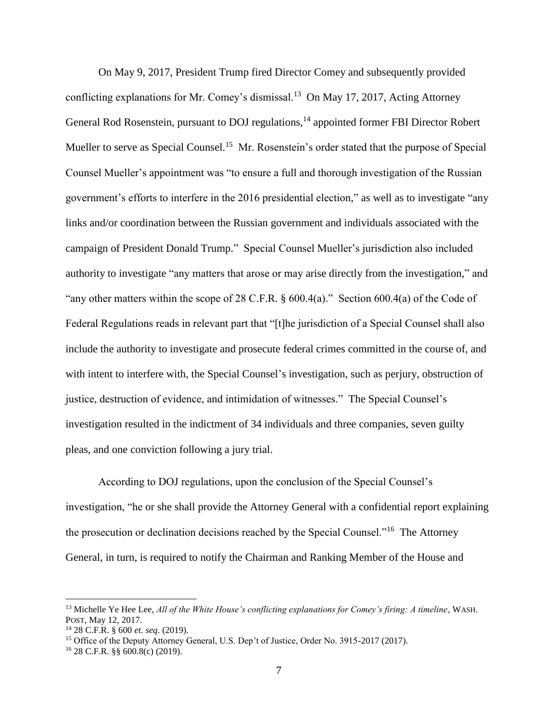On May 9, 2017, President Trump fired Director Comey and subsequently provided conflicting explanations for Mr. Comey's dismissal.<sup>13</sup> On May 17, 2017, Acting Attorney General Rod Rosenstein, pursuant to DOJ regulations,<sup>14</sup> appointed former FBI Director Robert Mueller to serve as Special Counsel.<sup>15</sup> Mr. Rosenstein's order stated that the purpose of Special Counsel Mueller's appointment was "to ensure a full and thorough investigation of the Russian government's efforts to interfere in the 2016 presidential election," as well as to investigate "any links and/or coordination between the Russian government and individuals associated with the campaign of President Donald Trump." Special Counsel Mueller's jurisdiction also included authority to investigate "any matters that arose or may arise directly from the investigation," and "any other matters within the scope of 28 C.F.R.  $\S$  600.4(a)." Section 600.4(a) of the Code of Federal Regulations reads in relevant part that "[t]he jurisdiction of a Special Counsel shall also include the authority to investigate and prosecute federal crimes committed in the course of, and with intent to interfere with, the Special Counsel's investigation, such as perjury, obstruction of justice, destruction of evidence, and intimidation of witnesses." The Special Counsel's investigation resulted in the indictment of 34 individuals and three companies, seven guilty pleas, and one conviction following a jury trial.

According to DOJ regulations, upon the conclusion of the Special Counsel's investigation, "he or she shall provide the Attorney General with a confidential report explaining the prosecution or declination decisions reached by the Special Counsel."<sup>16</sup> The Attorney General, in turn, is required to notify the Chairman and Ranking Member of the House and

<sup>13</sup> Michelle Ye Hee Lee, *All of the White House's conflicting explanations for Comey's firing: A timeline*, WASH. POST, May 12, 2017.

<sup>14</sup> 28 C.F.R. § 600 *et. seq*. (2019).

<sup>&</sup>lt;sup>15</sup> Office of the Deputy Attorney General, U.S. Dep't of Justice, Order No. 3915-2017 (2017).

<sup>16</sup> 28 C.F.R. §§ 600.8(c) (2019).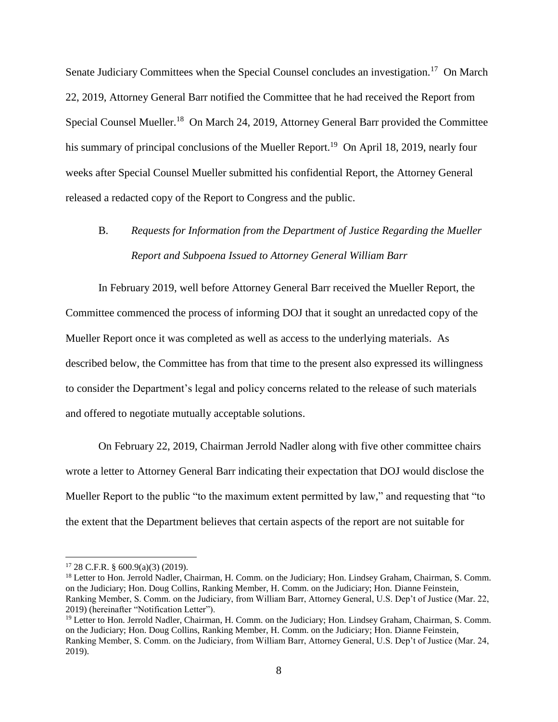Senate Judiciary Committees when the Special Counsel concludes an investigation.<sup>17</sup> On March 22, 2019, Attorney General Barr notified the Committee that he had received the Report from Special Counsel Mueller.<sup>18</sup> On March 24, 2019, Attorney General Barr provided the Committee his summary of principal conclusions of the Mueller Report.<sup>19</sup> On April 18, 2019, nearly four weeks after Special Counsel Mueller submitted his confidential Report, the Attorney General released a redacted copy of the Report to Congress and the public.

# B. *Requests for Information from the Department of Justice Regarding the Mueller Report and Subpoena Issued to Attorney General William Barr*

In February 2019, well before Attorney General Barr received the Mueller Report, the Committee commenced the process of informing DOJ that it sought an unredacted copy of the Mueller Report once it was completed as well as access to the underlying materials. As described below, the Committee has from that time to the present also expressed its willingness to consider the Department's legal and policy concerns related to the release of such materials and offered to negotiate mutually acceptable solutions.

On February 22, 2019, Chairman Jerrold Nadler along with five other committee chairs wrote a letter to Attorney General Barr indicating their expectation that DOJ would disclose the Mueller Report to the public "to the maximum extent permitted by law," and requesting that "to the extent that the Department believes that certain aspects of the report are not suitable for

 $17$  28 C.F.R. § 600.9(a)(3) (2019).

<sup>&</sup>lt;sup>18</sup> Letter to Hon. Jerrold Nadler, Chairman, H. Comm. on the Judiciary; Hon. Lindsey Graham, Chairman, S. Comm. on the Judiciary; Hon. Doug Collins, Ranking Member, H. Comm. on the Judiciary; Hon. Dianne Feinstein, Ranking Member, S. Comm. on the Judiciary, from William Barr, Attorney General, U.S. Dep't of Justice (Mar. 22, 2019) (hereinafter "Notification Letter").

<sup>&</sup>lt;sup>19</sup> Letter to Hon. Jerrold Nadler, Chairman, H. Comm. on the Judiciary; Hon. Lindsey Graham, Chairman, S. Comm. on the Judiciary; Hon. Doug Collins, Ranking Member, H. Comm. on the Judiciary; Hon. Dianne Feinstein, Ranking Member, S. Comm. on the Judiciary, from William Barr, Attorney General, U.S. Dep't of Justice (Mar. 24, 2019).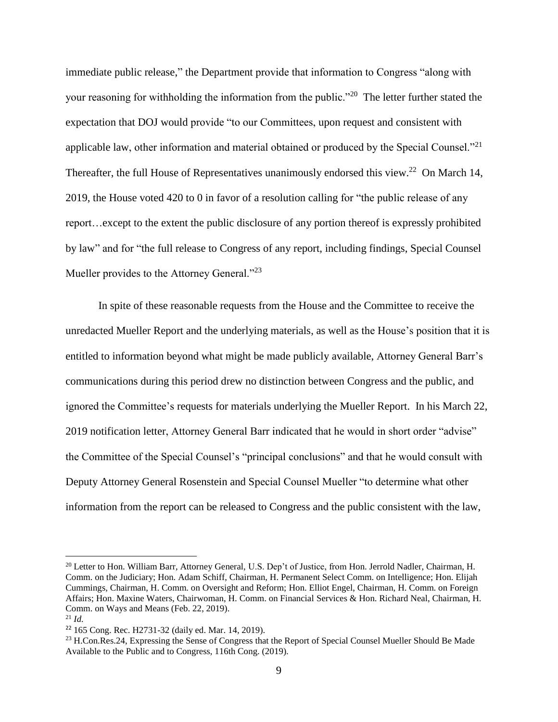immediate public release," the Department provide that information to Congress "along with your reasoning for withholding the information from the public."<sup>20</sup> The letter further stated the expectation that DOJ would provide "to our Committees, upon request and consistent with applicable law, other information and material obtained or produced by the Special Counsel."<sup>21</sup> Thereafter, the full House of Representatives unanimously endorsed this view.<sup>22</sup> On March 14, 2019, the House voted 420 to 0 in favor of a resolution calling for "the public release of any report…except to the extent the public disclosure of any portion thereof is expressly prohibited by law" and for "the full release to Congress of any report, including findings, Special Counsel Mueller provides to the Attorney General."<sup>23</sup>

In spite of these reasonable requests from the House and the Committee to receive the unredacted Mueller Report and the underlying materials, as well as the House's position that it is entitled to information beyond what might be made publicly available, Attorney General Barr's communications during this period drew no distinction between Congress and the public, and ignored the Committee's requests for materials underlying the Mueller Report. In his March 22, 2019 notification letter, Attorney General Barr indicated that he would in short order "advise" the Committee of the Special Counsel's "principal conclusions" and that he would consult with Deputy Attorney General Rosenstein and Special Counsel Mueller "to determine what other information from the report can be released to Congress and the public consistent with the law,

<sup>&</sup>lt;sup>20</sup> Letter to Hon. William Barr, Attorney General, U.S. Dep't of Justice, from Hon. Jerrold Nadler, Chairman, H. Comm. on the Judiciary; Hon. Adam Schiff, Chairman, H. Permanent Select Comm. on Intelligence; Hon. Elijah Cummings, Chairman, H. Comm. on Oversight and Reform; Hon. Elliot Engel, Chairman, H. Comm. on Foreign Affairs; Hon. Maxine Waters, Chairwoman, H. Comm. on Financial Services & Hon. Richard Neal, Chairman, H. Comm. on Ways and Means (Feb. 22, 2019).

<sup>21</sup> *Id.*

<sup>22</sup> 165 Cong. Rec. H2731-32 (daily ed. Mar. 14, 2019).

<sup>&</sup>lt;sup>23</sup> H.Con.Res.24, Expressing the Sense of Congress that the Report of Special Counsel Mueller Should Be Made Available to the Public and to Congress, 116th Cong. (2019).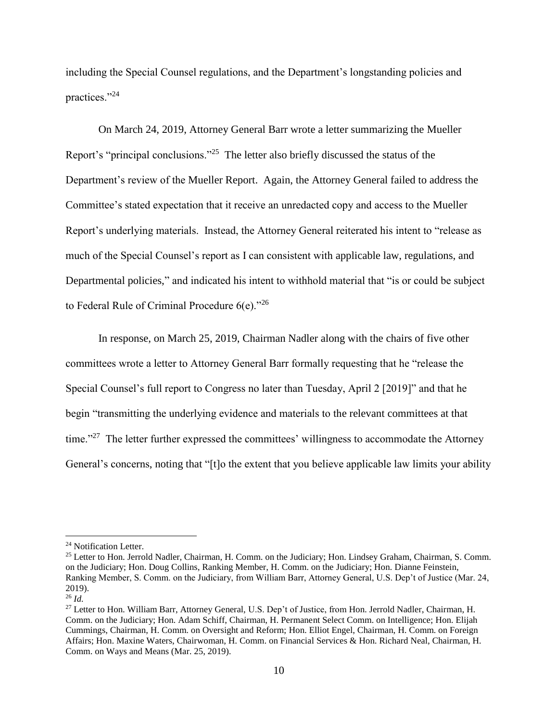including the Special Counsel regulations, and the Department's longstanding policies and practices."<sup>24</sup>

On March 24, 2019, Attorney General Barr wrote a letter summarizing the Mueller Report's "principal conclusions."<sup>25</sup> The letter also briefly discussed the status of the Department's review of the Mueller Report. Again, the Attorney General failed to address the Committee's stated expectation that it receive an unredacted copy and access to the Mueller Report's underlying materials. Instead, the Attorney General reiterated his intent to "release as much of the Special Counsel's report as I can consistent with applicable law, regulations, and Departmental policies," and indicated his intent to withhold material that "is or could be subject to Federal Rule of Criminal Procedure 6(e)."<sup>26</sup>

In response, on March 25, 2019, Chairman Nadler along with the chairs of five other committees wrote a letter to Attorney General Barr formally requesting that he "release the Special Counsel's full report to Congress no later than Tuesday, April 2 [2019]" and that he begin "transmitting the underlying evidence and materials to the relevant committees at that time."<sup>27</sup> The letter further expressed the committees' willingness to accommodate the Attorney General's concerns, noting that "[t]o the extent that you believe applicable law limits your ability

<sup>&</sup>lt;sup>24</sup> Notification Letter.

<sup>&</sup>lt;sup>25</sup> Letter to Hon. Jerrold Nadler, Chairman, H. Comm. on the Judiciary; Hon. Lindsey Graham, Chairman, S. Comm. on the Judiciary; Hon. Doug Collins, Ranking Member, H. Comm. on the Judiciary; Hon. Dianne Feinstein, Ranking Member, S. Comm. on the Judiciary, from William Barr, Attorney General, U.S. Dep't of Justice (Mar. 24, 2019).

 $^{26}$  *Id.* 

<sup>&</sup>lt;sup>27</sup> Letter to Hon. William Barr, Attorney General, U.S. Dep't of Justice, from Hon. Jerrold Nadler, Chairman, H. Comm. on the Judiciary; Hon. Adam Schiff, Chairman, H. Permanent Select Comm. on Intelligence; Hon. Elijah Cummings, Chairman, H. Comm. on Oversight and Reform; Hon. Elliot Engel, Chairman, H. Comm. on Foreign Affairs; Hon. Maxine Waters, Chairwoman, H. Comm. on Financial Services & Hon. Richard Neal, Chairman, H. Comm. on Ways and Means (Mar. 25, 2019).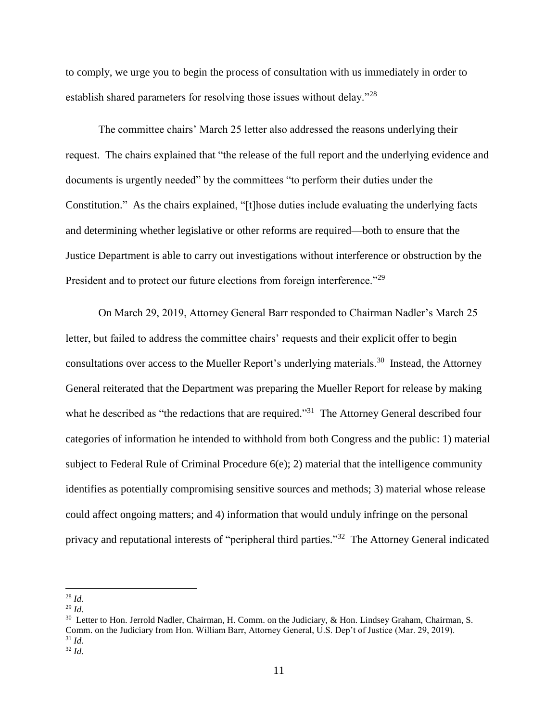to comply, we urge you to begin the process of consultation with us immediately in order to establish shared parameters for resolving those issues without delay."<sup>28</sup>

The committee chairs' March 25 letter also addressed the reasons underlying their request. The chairs explained that "the release of the full report and the underlying evidence and documents is urgently needed" by the committees "to perform their duties under the Constitution." As the chairs explained, "[t]hose duties include evaluating the underlying facts and determining whether legislative or other reforms are required—both to ensure that the Justice Department is able to carry out investigations without interference or obstruction by the President and to protect our future elections from foreign interference."<sup>29</sup>

On March 29, 2019, Attorney General Barr responded to Chairman Nadler's March 25 letter, but failed to address the committee chairs' requests and their explicit offer to begin consultations over access to the Mueller Report's underlying materials.<sup>30</sup> Instead, the Attorney General reiterated that the Department was preparing the Mueller Report for release by making what he described as "the redactions that are required."<sup>31</sup> The Attorney General described four categories of information he intended to withhold from both Congress and the public: 1) material subject to Federal Rule of Criminal Procedure 6(e); 2) material that the intelligence community identifies as potentially compromising sensitive sources and methods; 3) material whose release could affect ongoing matters; and 4) information that would unduly infringe on the personal privacy and reputational interests of "peripheral third parties."<sup>32</sup> The Attorney General indicated

 $\overline{a}$  $^{28}$  *Id.* 

<sup>29</sup> *Id.*

<sup>&</sup>lt;sup>30</sup> Letter to Hon. Jerrold Nadler, Chairman, H. Comm. on the Judiciary, & Hon. Lindsey Graham, Chairman, S. Comm. on the Judiciary from Hon. William Barr, Attorney General, U.S. Dep't of Justice (Mar. 29, 2019). <sup>31</sup> *Id.*

<sup>32</sup> *Id.*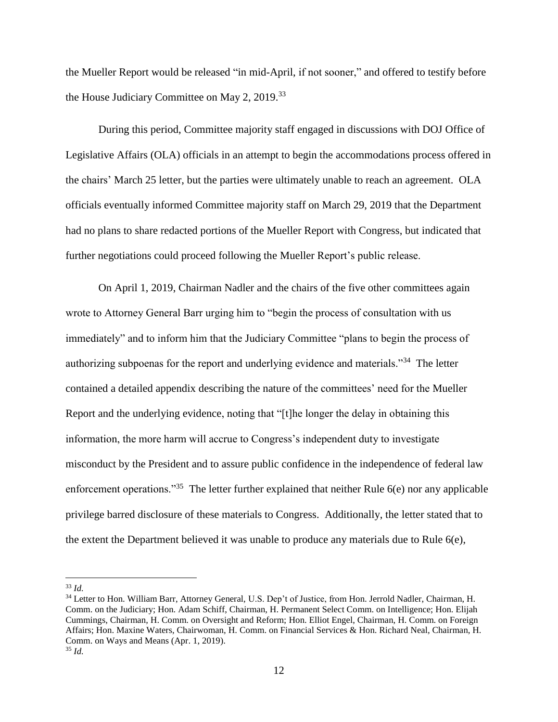the Mueller Report would be released "in mid-April, if not sooner," and offered to testify before the House Judiciary Committee on May 2, 2019.<sup>33</sup>

During this period, Committee majority staff engaged in discussions with DOJ Office of Legislative Affairs (OLA) officials in an attempt to begin the accommodations process offered in the chairs' March 25 letter, but the parties were ultimately unable to reach an agreement. OLA officials eventually informed Committee majority staff on March 29, 2019 that the Department had no plans to share redacted portions of the Mueller Report with Congress, but indicated that further negotiations could proceed following the Mueller Report's public release.

On April 1, 2019, Chairman Nadler and the chairs of the five other committees again wrote to Attorney General Barr urging him to "begin the process of consultation with us immediately" and to inform him that the Judiciary Committee "plans to begin the process of authorizing subpoenas for the report and underlying evidence and materials."<sup>34</sup> The letter contained a detailed appendix describing the nature of the committees' need for the Mueller Report and the underlying evidence, noting that "[t]he longer the delay in obtaining this information, the more harm will accrue to Congress's independent duty to investigate misconduct by the President and to assure public confidence in the independence of federal law enforcement operations."<sup>35</sup> The letter further explained that neither Rule  $6(e)$  nor any applicable privilege barred disclosure of these materials to Congress. Additionally, the letter stated that to the extent the Department believed it was unable to produce any materials due to Rule 6(e),

<sup>33</sup> *Id.* 

<sup>&</sup>lt;sup>34</sup> Letter to Hon. William Barr, Attorney General, U.S. Dep't of Justice, from Hon. Jerrold Nadler, Chairman, H. Comm. on the Judiciary; Hon. Adam Schiff, Chairman, H. Permanent Select Comm. on Intelligence; Hon. Elijah Cummings, Chairman, H. Comm. on Oversight and Reform; Hon. Elliot Engel, Chairman, H. Comm. on Foreign Affairs; Hon. Maxine Waters, Chairwoman, H. Comm. on Financial Services & Hon. Richard Neal, Chairman, H. Comm. on Ways and Means (Apr. 1, 2019). <sup>35</sup> *Id.*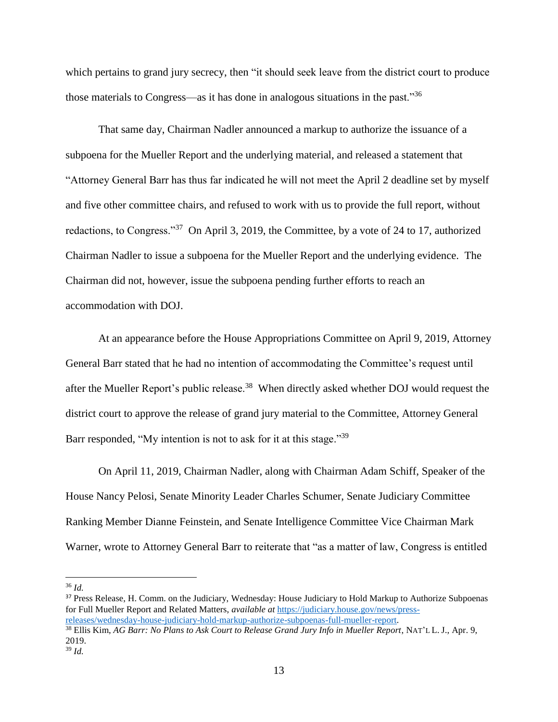which pertains to grand jury secrecy, then "it should seek leave from the district court to produce those materials to Congress—as it has done in analogous situations in the past."<sup>36</sup>

That same day, Chairman Nadler announced a markup to authorize the issuance of a subpoena for the Mueller Report and the underlying material, and released a statement that "Attorney General Barr has thus far indicated he will not meet the April 2 deadline set by myself and five other committee chairs, and refused to work with us to provide the full report, without redactions, to Congress."<sup>37</sup> On April 3, 2019, the Committee, by a vote of 24 to 17, authorized Chairman Nadler to issue a subpoena for the Mueller Report and the underlying evidence. The Chairman did not, however, issue the subpoena pending further efforts to reach an accommodation with DOJ.

At an appearance before the House Appropriations Committee on April 9, 2019, Attorney General Barr stated that he had no intention of accommodating the Committee's request until after the Mueller Report's public release.<sup>38</sup> When directly asked whether DOJ would request the district court to approve the release of grand jury material to the Committee, Attorney General Barr responded, "My intention is not to ask for it at this stage."<sup>39</sup>

On April 11, 2019, Chairman Nadler, along with Chairman Adam Schiff, Speaker of the House Nancy Pelosi, Senate Minority Leader Charles Schumer, Senate Judiciary Committee Ranking Member Dianne Feinstein, and Senate Intelligence Committee Vice Chairman Mark Warner, wrote to Attorney General Barr to reiterate that "as a matter of law, Congress is entitled

<sup>36</sup> *Id.*

 $\overline{a}$ 

<sup>37</sup> Press Release, H. Comm. on the Judiciary, Wednesday: House Judiciary to Hold Markup to Authorize Subpoenas for Full Mueller Report and Related Matters, *available at* [https://judiciary.house.gov/news/press](https://judiciary.house.gov/news/press-releases/wednesday-house-judiciary-hold-markup-authorize-subpoenas-full-mueller-report)[releases/wednesday-house-judiciary-hold-markup-authorize-subpoenas-full-mueller-report.](https://judiciary.house.gov/news/press-releases/wednesday-house-judiciary-hold-markup-authorize-subpoenas-full-mueller-report) <sup>38</sup> Ellis Kim, *AG Barr: No Plans to Ask Court to Release Grand Jury Info in Mueller Report*, NAT'L L. J., Apr. 9, 2019.

<sup>39</sup> *Id.*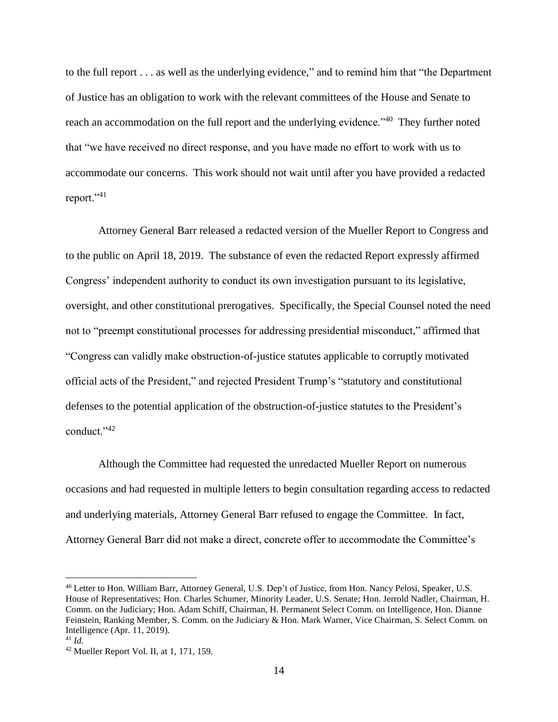to the full report . . . as well as the underlying evidence," and to remind him that "the Department of Justice has an obligation to work with the relevant committees of the House and Senate to reach an accommodation on the full report and the underlying evidence."<sup>40</sup> They further noted that "we have received no direct response, and you have made no effort to work with us to accommodate our concerns. This work should not wait until after you have provided a redacted report."<sup>41</sup>

Attorney General Barr released a redacted version of the Mueller Report to Congress and to the public on April 18, 2019. The substance of even the redacted Report expressly affirmed Congress' independent authority to conduct its own investigation pursuant to its legislative, oversight, and other constitutional prerogatives. Specifically, the Special Counsel noted the need not to "preempt constitutional processes for addressing presidential misconduct," affirmed that "Congress can validly make obstruction-of-justice statutes applicable to corruptly motivated official acts of the President," and rejected President Trump's "statutory and constitutional defenses to the potential application of the obstruction-of-justice statutes to the President's conduct."<sup>42</sup>

Although the Committee had requested the unredacted Mueller Report on numerous occasions and had requested in multiple letters to begin consultation regarding access to redacted and underlying materials, Attorney General Barr refused to engage the Committee. In fact, Attorney General Barr did not make a direct, concrete offer to accommodate the Committee's

<sup>40</sup> Letter to Hon. William Barr, Attorney General, U.S. Dep't of Justice, from Hon. Nancy Pelosi, Speaker, U.S. House of Representatives; Hon. Charles Schumer, Minority Leader, U.S. Senate; Hon. Jerrold Nadler, Chairman, H. Comm. on the Judiciary; Hon. Adam Schiff, Chairman, H. Permanent Select Comm. on Intelligence, Hon. Dianne Feinstein, Ranking Member, S. Comm. on the Judiciary & Hon. Mark Warner, Vice Chairman, S. Select Comm. on Intelligence (Apr. 11, 2019).

<sup>41</sup> *Id.* 

<sup>42</sup> Mueller Report Vol. II, at 1, 171, 159.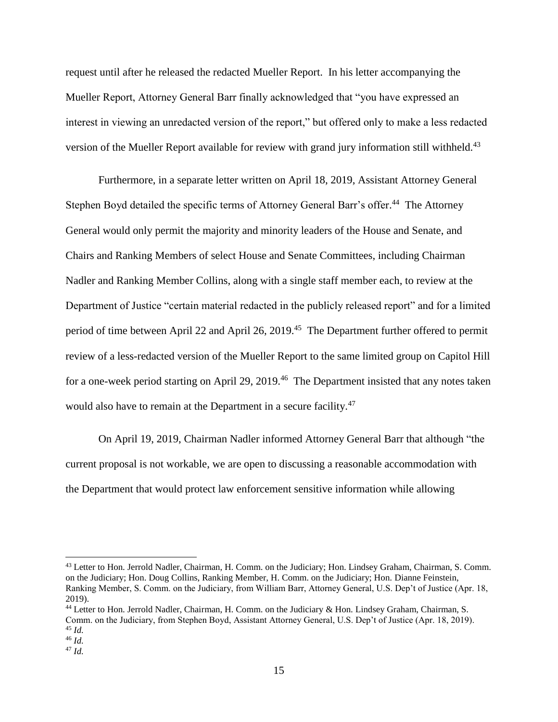request until after he released the redacted Mueller Report. In his letter accompanying the Mueller Report, Attorney General Barr finally acknowledged that "you have expressed an interest in viewing an unredacted version of the report," but offered only to make a less redacted version of the Mueller Report available for review with grand jury information still withheld.<sup>43</sup>

Furthermore, in a separate letter written on April 18, 2019, Assistant Attorney General Stephen Boyd detailed the specific terms of Attorney General Barr's offer.<sup>44</sup> The Attorney General would only permit the majority and minority leaders of the House and Senate, and Chairs and Ranking Members of select House and Senate Committees, including Chairman Nadler and Ranking Member Collins, along with a single staff member each, to review at the Department of Justice "certain material redacted in the publicly released report" and for a limited period of time between April 22 and April 26, 2019.<sup>45</sup> The Department further offered to permit review of a less-redacted version of the Mueller Report to the same limited group on Capitol Hill for a one-week period starting on April 29, 2019.<sup>46</sup> The Department insisted that any notes taken would also have to remain at the Department in a secure facility.<sup>47</sup>

On April 19, 2019, Chairman Nadler informed Attorney General Barr that although "the current proposal is not workable, we are open to discussing a reasonable accommodation with the Department that would protect law enforcement sensitive information while allowing

<sup>43</sup> Letter to Hon. Jerrold Nadler, Chairman, H. Comm. on the Judiciary; Hon. Lindsey Graham, Chairman, S. Comm. on the Judiciary; Hon. Doug Collins, Ranking Member, H. Comm. on the Judiciary; Hon. Dianne Feinstein, Ranking Member, S. Comm. on the Judiciary, from William Barr, Attorney General, U.S. Dep't of Justice (Apr. 18, 2019).

<sup>44</sup> Letter to Hon. Jerrold Nadler, Chairman, H. Comm. on the Judiciary & Hon. Lindsey Graham, Chairman, S. Comm. on the Judiciary, from Stephen Boyd, Assistant Attorney General, U.S. Dep't of Justice (Apr. 18, 2019). <sup>45</sup> *Id.*

<sup>46</sup> *Id.*

<sup>47</sup> *Id.*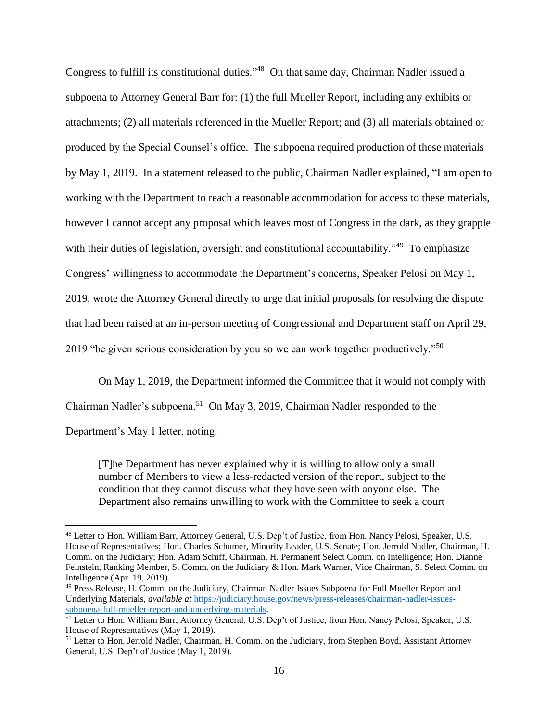Congress to fulfill its constitutional duties."<sup>48</sup> On that same day, Chairman Nadler issued a subpoena to Attorney General Barr for: (1) the full Mueller Report, including any exhibits or attachments; (2) all materials referenced in the Mueller Report; and (3) all materials obtained or produced by the Special Counsel's office. The subpoena required production of these materials by May 1, 2019. In a statement released to the public, Chairman Nadler explained, "I am open to working with the Department to reach a reasonable accommodation for access to these materials, however I cannot accept any proposal which leaves most of Congress in the dark, as they grapple with their duties of legislation, oversight and constitutional accountability."<sup>49</sup> To emphasize Congress' willingness to accommodate the Department's concerns, Speaker Pelosi on May 1, 2019, wrote the Attorney General directly to urge that initial proposals for resolving the dispute that had been raised at an in-person meeting of Congressional and Department staff on April 29, 2019 "be given serious consideration by you so we can work together productively."<sup>50</sup>

On May 1, 2019, the Department informed the Committee that it would not comply with Chairman Nadler's subpoena.<sup>51</sup> On May 3, 2019, Chairman Nadler responded to the Department's May 1 letter, noting:

[T]he Department has never explained why it is willing to allow only a small number of Members to view a less-redacted version of the report, subject to the condition that they cannot discuss what they have seen with anyone else. The Department also remains unwilling to work with the Committee to seek a court

<sup>48</sup> Letter to Hon. William Barr, Attorney General, U.S. Dep't of Justice, from Hon. Nancy Pelosi, Speaker, U.S. House of Representatives; Hon. Charles Schumer, Minority Leader, U.S. Senate; Hon. Jerrold Nadler, Chairman, H. Comm. on the Judiciary; Hon. Adam Schiff, Chairman, H. Permanent Select Comm. on Intelligence; Hon. Dianne Feinstein, Ranking Member, S. Comm. on the Judiciary & Hon. Mark Warner, Vice Chairman, S. Select Comm. on Intelligence (Apr. 19, 2019).

<sup>49</sup> Press Release, H. Comm. on the Judiciary, Chairman Nadler Issues Subpoena for Full Mueller Report and Underlying Materials, *available at* [https://judiciary.house.gov/news/press-releases/chairman-nadler-issues](https://judiciary.house.gov/news/press-releases/chairman-nadler-issues-subpoena-full-mueller-report-and-underlying-materials)[subpoena-full-mueller-report-and-underlying-materials.](https://judiciary.house.gov/news/press-releases/chairman-nadler-issues-subpoena-full-mueller-report-and-underlying-materials)

<sup>50</sup> Letter to Hon. William Barr, Attorney General, U.S. Dep't of Justice, from Hon. Nancy Pelosi, Speaker, U.S. House of Representatives (May 1, 2019).

<sup>&</sup>lt;sup>51</sup> Letter to Hon. Jerrold Nadler, Chairman, H. Comm. on the Judiciary, from Stephen Boyd, Assistant Attorney General, U.S. Dep't of Justice (May 1, 2019).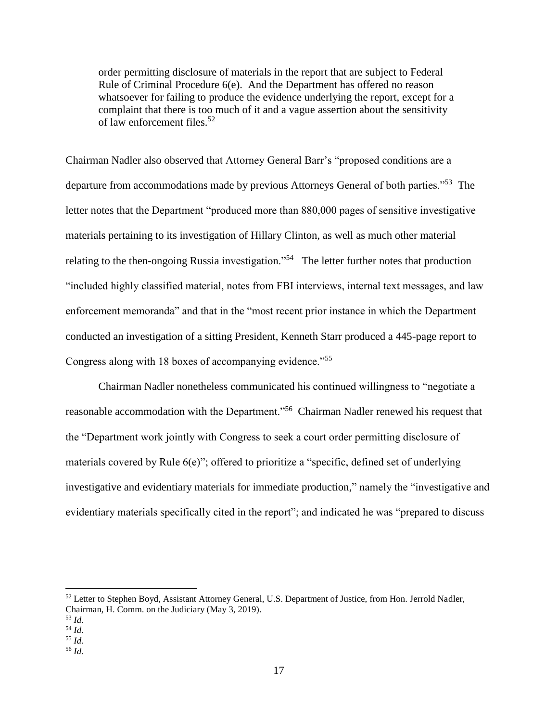order permitting disclosure of materials in the report that are subject to Federal Rule of Criminal Procedure 6(e). And the Department has offered no reason whatsoever for failing to produce the evidence underlying the report, except for a complaint that there is too much of it and a vague assertion about the sensitivity of law enforcement files.<sup>52</sup>

Chairman Nadler also observed that Attorney General Barr's "proposed conditions are a departure from accommodations made by previous Attorneys General of both parties."<sup>53</sup> The letter notes that the Department "produced more than 880,000 pages of sensitive investigative materials pertaining to its investigation of Hillary Clinton, as well as much other material relating to the then-ongoing Russia investigation."<sup>54</sup> The letter further notes that production "included highly classified material, notes from FBI interviews, internal text messages, and law enforcement memoranda" and that in the "most recent prior instance in which the Department conducted an investigation of a sitting President, Kenneth Starr produced a 445-page report to Congress along with 18 boxes of accompanying evidence.<sup>55</sup>

Chairman Nadler nonetheless communicated his continued willingness to "negotiate a reasonable accommodation with the Department."<sup>56</sup> Chairman Nadler renewed his request that the "Department work jointly with Congress to seek a court order permitting disclosure of materials covered by Rule 6(e)"; offered to prioritize a "specific, defined set of underlying investigative and evidentiary materials for immediate production," namely the "investigative and evidentiary materials specifically cited in the report"; and indicated he was "prepared to discuss

<sup>52</sup> Letter to Stephen Boyd, Assistant Attorney General, U.S. Department of Justice, from Hon. Jerrold Nadler, Chairman, H. Comm. on the Judiciary (May 3, 2019).

<sup>53</sup> *Id.* <sup>54</sup> *Id.*

<sup>55</sup> *Id.*

<sup>56</sup> *Id.*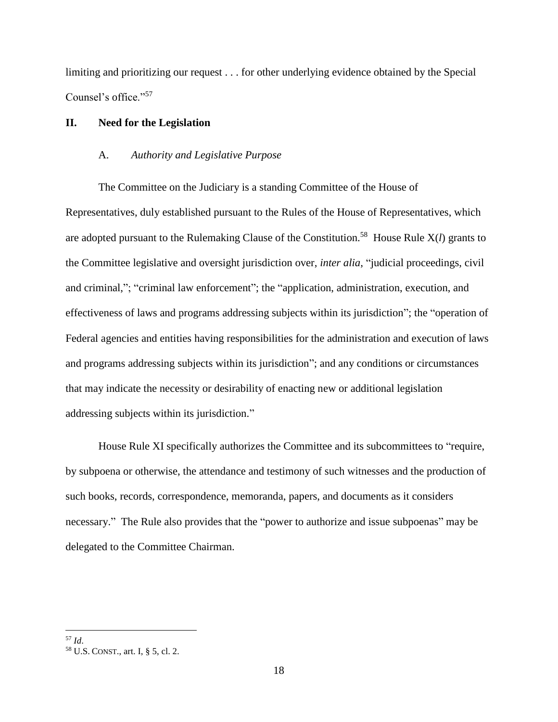limiting and prioritizing our request . . . for other underlying evidence obtained by the Special Counsel's office."<sup>57</sup>

# **II. Need for the Legislation**

# A. *Authority and Legislative Purpose*

The Committee on the Judiciary is a standing Committee of the House of Representatives, duly established pursuant to the Rules of the House of Representatives, which are adopted pursuant to the Rulemaking Clause of the Constitution.<sup>58</sup> House Rule  $X(l)$  grants to the Committee legislative and oversight jurisdiction over, *inter alia*, "judicial proceedings, civil and criminal,"; "criminal law enforcement"; the "application, administration, execution, and effectiveness of laws and programs addressing subjects within its jurisdiction"; the "operation of Federal agencies and entities having responsibilities for the administration and execution of laws and programs addressing subjects within its jurisdiction"; and any conditions or circumstances that may indicate the necessity or desirability of enacting new or additional legislation addressing subjects within its jurisdiction."

House Rule XI specifically authorizes the Committee and its subcommittees to "require, by subpoena or otherwise, the attendance and testimony of such witnesses and the production of such books, records, correspondence, memoranda, papers, and documents as it considers necessary." The Rule also provides that the "power to authorize and issue subpoenas" may be delegated to the Committee Chairman.

 $\overline{a}$ <sup>57</sup> *Id*.

<sup>58</sup> U.S. CONST., art. I, § 5, cl. 2.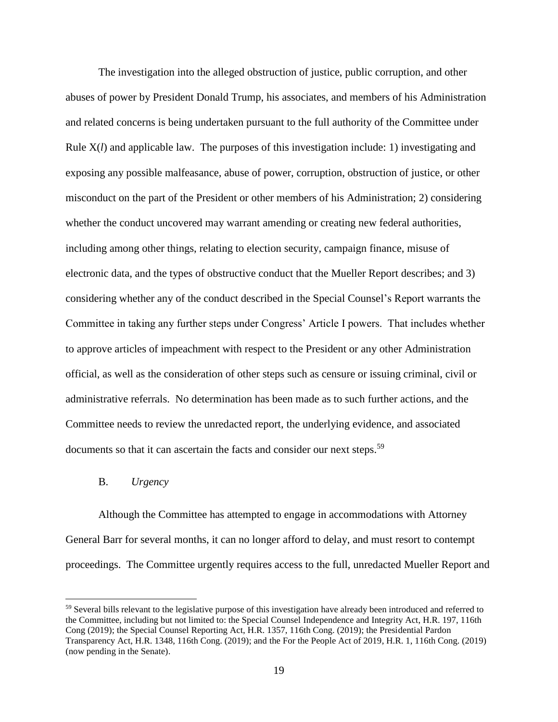The investigation into the alleged obstruction of justice, public corruption, and other abuses of power by President Donald Trump, his associates, and members of his Administration and related concerns is being undertaken pursuant to the full authority of the Committee under Rule X(*l*) and applicable law. The purposes of this investigation include: 1) investigating and exposing any possible malfeasance, abuse of power, corruption, obstruction of justice, or other misconduct on the part of the President or other members of his Administration; 2) considering whether the conduct uncovered may warrant amending or creating new federal authorities, including among other things, relating to election security, campaign finance, misuse of electronic data, and the types of obstructive conduct that the Mueller Report describes; and 3) considering whether any of the conduct described in the Special Counsel's Report warrants the Committee in taking any further steps under Congress' Article I powers. That includes whether to approve articles of impeachment with respect to the President or any other Administration official, as well as the consideration of other steps such as censure or issuing criminal, civil or administrative referrals. No determination has been made as to such further actions, and the Committee needs to review the unredacted report, the underlying evidence, and associated documents so that it can ascertain the facts and consider our next steps.<sup>59</sup>

# B. *Urgency*

 $\overline{a}$ 

Although the Committee has attempted to engage in accommodations with Attorney General Barr for several months, it can no longer afford to delay, and must resort to contempt proceedings. The Committee urgently requires access to the full, unredacted Mueller Report and

<sup>&</sup>lt;sup>59</sup> Several bills relevant to the legislative purpose of this investigation have already been introduced and referred to the Committee, including but not limited to: the Special Counsel Independence and Integrity Act, H.R. 197, 116th Cong (2019); the Special Counsel Reporting Act, H.R. 1357, 116th Cong. (2019); the Presidential Pardon Transparency Act, H.R. 1348, 116th Cong. (2019); and the For the People Act of 2019, H.R. 1, 116th Cong. (2019) (now pending in the Senate).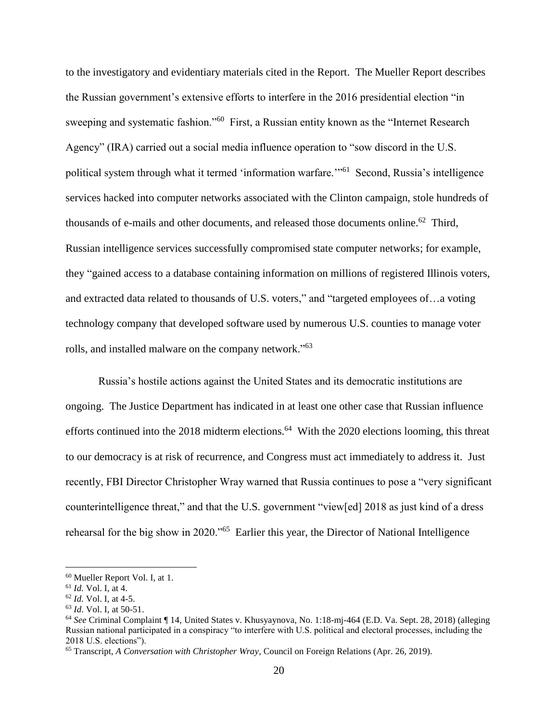to the investigatory and evidentiary materials cited in the Report. The Mueller Report describes the Russian government's extensive efforts to interfere in the 2016 presidential election "in sweeping and systematic fashion."<sup>60</sup> First, a Russian entity known as the "Internet Research Agency" (IRA) carried out a social media influence operation to "sow discord in the U.S. political system through what it termed 'information warfare."<sup>61</sup> Second, Russia's intelligence services hacked into computer networks associated with the Clinton campaign, stole hundreds of thousands of e-mails and other documents, and released those documents online.<sup>62</sup> Third, Russian intelligence services successfully compromised state computer networks; for example, they "gained access to a database containing information on millions of registered Illinois voters, and extracted data related to thousands of U.S. voters," and "targeted employees of…a voting technology company that developed software used by numerous U.S. counties to manage voter rolls, and installed malware on the company network."<sup>63</sup>

Russia's hostile actions against the United States and its democratic institutions are ongoing. The Justice Department has indicated in at least one other case that Russian influence efforts continued into the 2018 midterm elections.<sup>64</sup> With the 2020 elections looming, this threat to our democracy is at risk of recurrence, and Congress must act immediately to address it. Just recently, FBI Director Christopher Wray warned that Russia continues to pose a "very significant counterintelligence threat," and that the U.S. government "view[ed] 2018 as just kind of a dress rehearsal for the big show in 2020."<sup>65</sup> Earlier this year, the Director of National Intelligence

<sup>60</sup> Mueller Report Vol. I, at 1.

<sup>61</sup> *Id.* Vol. I, at 4.

<sup>62</sup> *Id.* Vol. I, at 4-5.

<sup>63</sup> *Id*. Vol. I, at 50-51.

<sup>64</sup> *See* Criminal Complaint ¶ 14, United States v. Khusyaynova, No. 1:18-mj-464 (E.D. Va. Sept. 28, 2018) (alleging Russian national participated in a conspiracy "to interfere with U.S. political and electoral processes, including the 2018 U.S. elections").

<sup>65</sup> Transcript, *A Conversation with Christopher Wray*, Council on Foreign Relations (Apr. 26, 2019).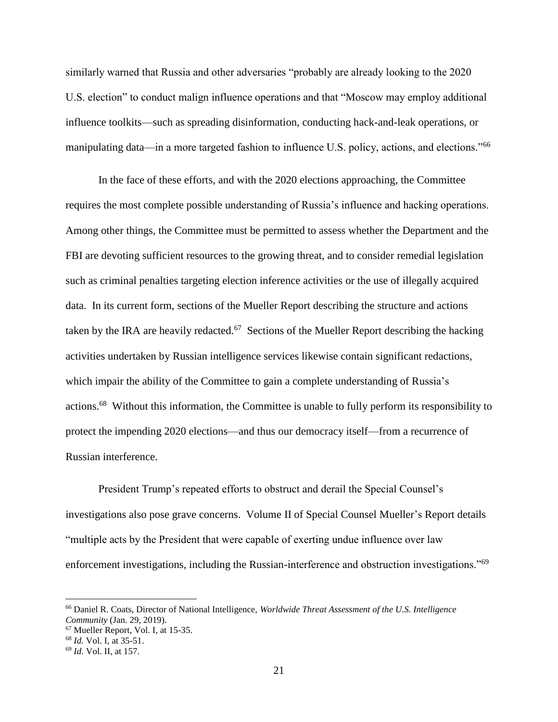similarly warned that Russia and other adversaries "probably are already looking to the 2020 U.S. election" to conduct malign influence operations and that "Moscow may employ additional influence toolkits—such as spreading disinformation, conducting hack-and-leak operations, or manipulating data—in a more targeted fashion to influence U.S. policy, actions, and elections."<sup>66</sup>

In the face of these efforts, and with the 2020 elections approaching, the Committee requires the most complete possible understanding of Russia's influence and hacking operations. Among other things, the Committee must be permitted to assess whether the Department and the FBI are devoting sufficient resources to the growing threat, and to consider remedial legislation such as criminal penalties targeting election inference activities or the use of illegally acquired data. In its current form, sections of the Mueller Report describing the structure and actions taken by the IRA are heavily redacted.<sup>67</sup> Sections of the Mueller Report describing the hacking activities undertaken by Russian intelligence services likewise contain significant redactions, which impair the ability of the Committee to gain a complete understanding of Russia's actions.<sup>68</sup> Without this information, the Committee is unable to fully perform its responsibility to protect the impending 2020 elections—and thus our democracy itself—from a recurrence of Russian interference.

President Trump's repeated efforts to obstruct and derail the Special Counsel's investigations also pose grave concerns. Volume II of Special Counsel Mueller's Report details "multiple acts by the President that were capable of exerting undue influence over law enforcement investigations, including the Russian-interference and obstruction investigations."<sup>69</sup>

<sup>66</sup> Daniel R. Coats, Director of National Intelligence, *Worldwide Threat Assessment of the U.S. Intelligence Community* (Jan. 29, 2019).

<sup>67</sup> Mueller Report, Vol. I, at 15-35.

<sup>68</sup> *Id.* Vol. I, at 35-51.

<sup>69</sup> *Id.* Vol. II, at 157.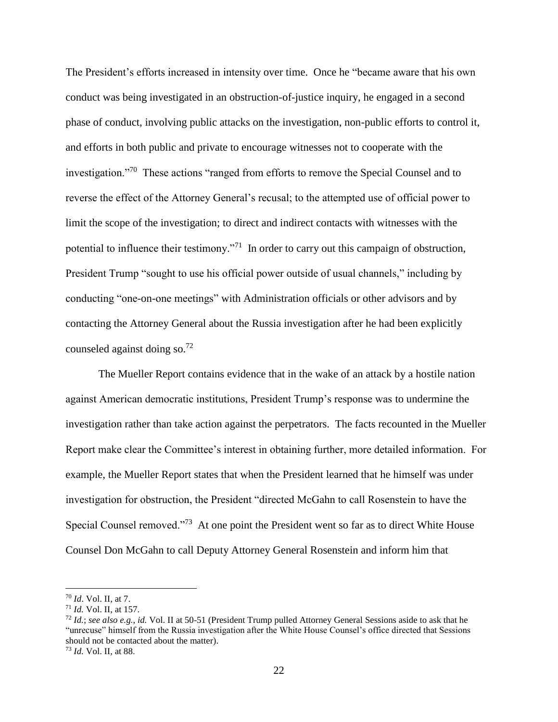The President's efforts increased in intensity over time. Once he "became aware that his own conduct was being investigated in an obstruction-of-justice inquiry, he engaged in a second phase of conduct, involving public attacks on the investigation, non-public efforts to control it, and efforts in both public and private to encourage witnesses not to cooperate with the investigation."<sup>70</sup> These actions "ranged from efforts to remove the Special Counsel and to reverse the effect of the Attorney General's recusal; to the attempted use of official power to limit the scope of the investigation; to direct and indirect contacts with witnesses with the potential to influence their testimony."<sup>71</sup> In order to carry out this campaign of obstruction, President Trump "sought to use his official power outside of usual channels," including by conducting "one-on-one meetings" with Administration officials or other advisors and by contacting the Attorney General about the Russia investigation after he had been explicitly counseled against doing so.<sup>72</sup>

The Mueller Report contains evidence that in the wake of an attack by a hostile nation against American democratic institutions, President Trump's response was to undermine the investigation rather than take action against the perpetrators. The facts recounted in the Mueller Report make clear the Committee's interest in obtaining further, more detailed information. For example, the Mueller Report states that when the President learned that he himself was under investigation for obstruction, the President "directed McGahn to call Rosenstein to have the Special Counsel removed."<sup>73</sup> At one point the President went so far as to direct White House Counsel Don McGahn to call Deputy Attorney General Rosenstein and inform him that

<sup>70</sup> *Id*. Vol. II, at 7.

<sup>71</sup> *Id.* Vol. II, at 157.

<sup>72</sup> *Id.*; *see also e.g.*, *id.* Vol. II at 50-51 (President Trump pulled Attorney General Sessions aside to ask that he "unrecuse" himself from the Russia investigation after the White House Counsel's office directed that Sessions should not be contacted about the matter).

<sup>73</sup> *Id.* Vol. II, at 88.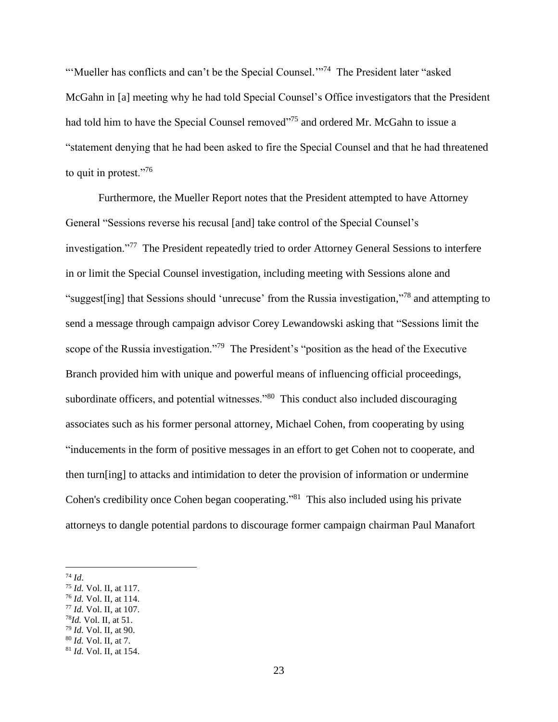"'Mueller has conflicts and can't be the Special Counsel."<sup>74</sup> The President later "asked McGahn in [a] meeting why he had told Special Counsel's Office investigators that the President had told him to have the Special Counsel removed"<sup>75</sup> and ordered Mr. McGahn to issue a "statement denying that he had been asked to fire the Special Counsel and that he had threatened to quit in protest."<sup>76</sup>

Furthermore, the Mueller Report notes that the President attempted to have Attorney General "Sessions reverse his recusal [and] take control of the Special Counsel's investigation."<sup>77</sup> The President repeatedly tried to order Attorney General Sessions to interfere in or limit the Special Counsel investigation, including meeting with Sessions alone and "suggest[ing] that Sessions should 'unrecuse' from the Russia investigation,"<sup>78</sup> and attempting to send a message through campaign advisor Corey Lewandowski asking that "Sessions limit the scope of the Russia investigation."<sup>79</sup> The President's "position as the head of the Executive Branch provided him with unique and powerful means of influencing official proceedings, subordinate officers, and potential witnesses."<sup>80</sup> This conduct also included discouraging associates such as his former personal attorney, Michael Cohen, from cooperating by using "inducements in the form of positive messages in an effort to get Cohen not to cooperate, and then turn[ing] to attacks and intimidation to deter the provision of information or undermine Cohen's credibility once Cohen began cooperating."<sup>81</sup> This also included using his private attorneys to dangle potential pardons to discourage former campaign chairman Paul Manafort

- <sup>76</sup> *Id.* Vol. II, at 114.
- <sup>77</sup> *Id.* Vol. II, at 107.
- <sup>78</sup>*Id.* Vol. II, at 51.
- <sup>79</sup> *Id.* Vol. II, at 90. <sup>80</sup> *Id.* Vol. II, at 7.

<sup>74</sup> *Id*.

<sup>75</sup> *Id.* Vol. II, at 117.

<sup>81</sup> *Id.* Vol. II, at 154.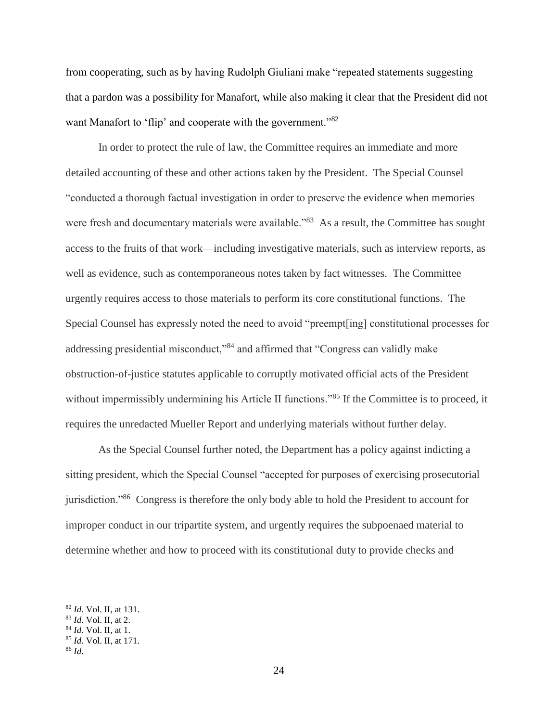from cooperating, such as by having Rudolph Giuliani make "repeated statements suggesting that a pardon was a possibility for Manafort, while also making it clear that the President did not want Manafort to 'flip' and cooperate with the government."<sup>82</sup>

In order to protect the rule of law, the Committee requires an immediate and more detailed accounting of these and other actions taken by the President. The Special Counsel "conducted a thorough factual investigation in order to preserve the evidence when memories were fresh and documentary materials were available."<sup>83</sup> As a result, the Committee has sought access to the fruits of that work—including investigative materials, such as interview reports, as well as evidence, such as contemporaneous notes taken by fact witnesses. The Committee urgently requires access to those materials to perform its core constitutional functions. The Special Counsel has expressly noted the need to avoid "preempt[ing] constitutional processes for addressing presidential misconduct,"<sup>84</sup> and affirmed that "Congress can validly make obstruction-of-justice statutes applicable to corruptly motivated official acts of the President without impermissibly undermining his Article II functions."<sup>85</sup> If the Committee is to proceed, it requires the unredacted Mueller Report and underlying materials without further delay.

As the Special Counsel further noted, the Department has a policy against indicting a sitting president, which the Special Counsel "accepted for purposes of exercising prosecutorial jurisdiction."<sup>86</sup> Congress is therefore the only body able to hold the President to account for improper conduct in our tripartite system, and urgently requires the subpoenaed material to determine whether and how to proceed with its constitutional duty to provide checks and

<sup>82</sup> *Id.* Vol. II, at 131.

<sup>83</sup> *Id.* Vol. II, at 2.

<sup>84</sup> *Id.* Vol. II, at 1.

<sup>85</sup> *Id.* Vol. II, at 171.

<sup>86</sup> *Id.*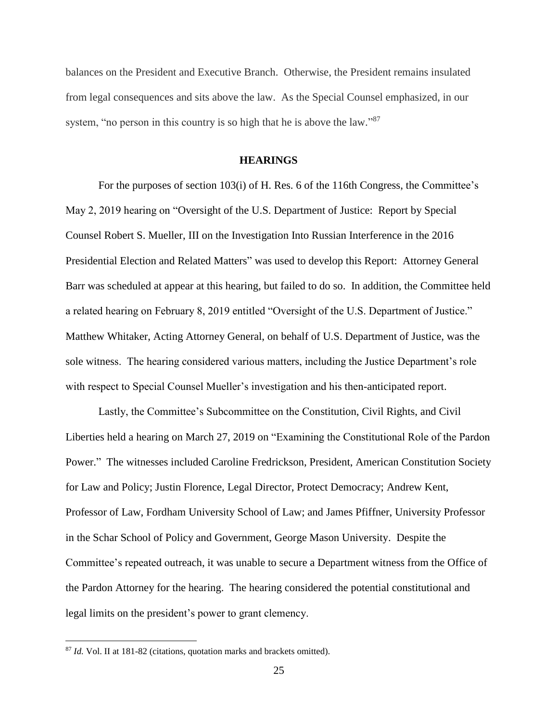balances on the President and Executive Branch. Otherwise, the President remains insulated from legal consequences and sits above the law. As the Special Counsel emphasized, in our system, "no person in this country is so high that he is above the law."<sup>87</sup>

# **HEARINGS**

For the purposes of section 103(i) of H. Res. 6 of the 116th Congress, the Committee's May 2, 2019 hearing on "Oversight of the U.S. Department of Justice: Report by Special Counsel Robert S. Mueller, III on the Investigation Into Russian Interference in the 2016 Presidential Election and Related Matters" was used to develop this Report: Attorney General Barr was scheduled at appear at this hearing, but failed to do so. In addition, the Committee held a related hearing on February 8, 2019 entitled "Oversight of the U.S. Department of Justice." Matthew Whitaker, Acting Attorney General, on behalf of U.S. Department of Justice, was the sole witness. The hearing considered various matters, including the Justice Department's role with respect to Special Counsel Mueller's investigation and his then-anticipated report.

Lastly, the Committee's Subcommittee on the Constitution, Civil Rights, and Civil Liberties held a hearing on March 27, 2019 on "Examining the Constitutional Role of the Pardon Power." The witnesses included Caroline Fredrickson, President, American Constitution Society for Law and Policy; Justin Florence, Legal Director, Protect Democracy; Andrew Kent, Professor of Law, Fordham University School of Law; and James Pfiffner, University Professor in the Schar School of Policy and Government, George Mason University. Despite the Committee's repeated outreach, it was unable to secure a Department witness from the Office of the Pardon Attorney for the hearing. The hearing considered the potential constitutional and legal limits on the president's power to grant clemency.

<sup>87</sup> *Id.* Vol. II at 181-82 (citations, quotation marks and brackets omitted).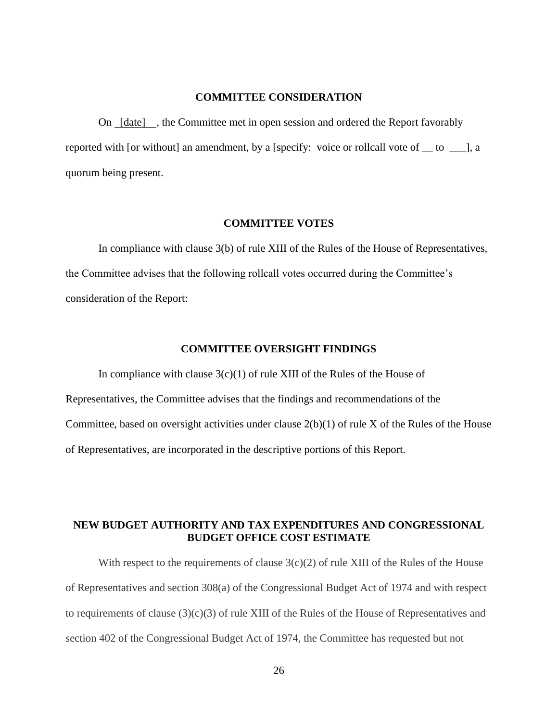#### **COMMITTEE CONSIDERATION**

On [date] , the Committee met in open session and ordered the Report favorably reported with [or without] an amendment, by a [specify: voice or rollcall vote of \_\_ to \_\_\_], a quorum being present.

#### **COMMITTEE VOTES**

In compliance with clause 3(b) of rule XIII of the Rules of the House of Representatives, the Committee advises that the following rollcall votes occurred during the Committee's consideration of the Report:

#### **COMMITTEE OVERSIGHT FINDINGS**

In compliance with clause  $3(c)(1)$  of rule XIII of the Rules of the House of Representatives, the Committee advises that the findings and recommendations of the Committee, based on oversight activities under clause 2(b)(1) of rule X of the Rules of the House of Representatives, are incorporated in the descriptive portions of this Report.

# **NEW BUDGET AUTHORITY AND TAX EXPENDITURES AND CONGRESSIONAL BUDGET OFFICE COST ESTIMATE**

With respect to the requirements of clause  $3(c)(2)$  of rule XIII of the Rules of the House of Representatives and section 308(a) of the Congressional Budget Act of 1974 and with respect to requirements of clause  $(3)(c)(3)$  of rule XIII of the Rules of the House of Representatives and section 402 of the Congressional Budget Act of 1974, the Committee has requested but not